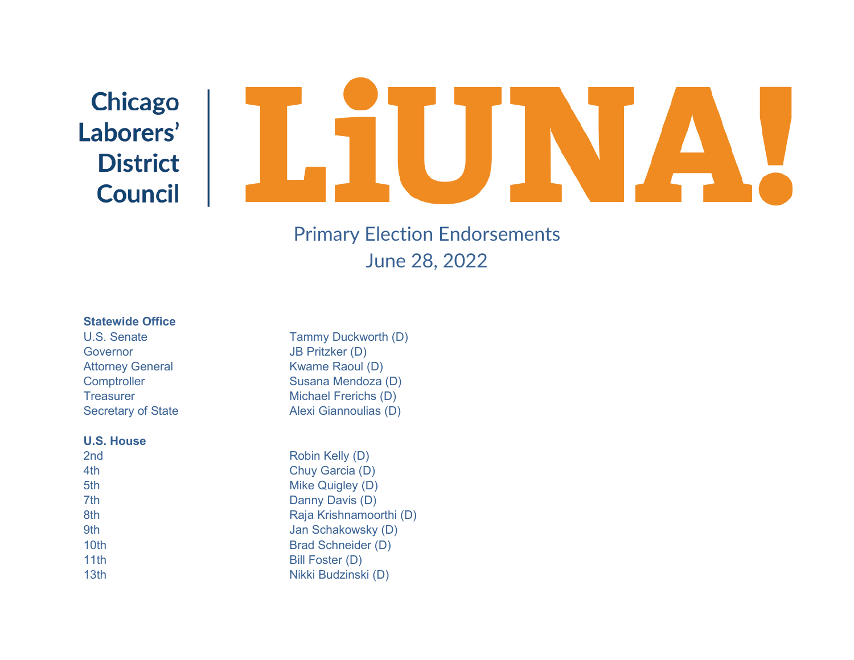# **Chicago** Laborers' **District Council**

### Primary Election Endorsements June 28, 2022

## **Statewide Office**<br>U.S. Senate

Governor JB Pritzker (D) Attorney General **KWAME** Raoul (D)

#### **U.S. House**

| 2 <sub>nd</sub> |  |  |
|-----------------|--|--|
| 4th             |  |  |
| 5th             |  |  |
| 7th             |  |  |
| 8th             |  |  |
| 9th             |  |  |
| 10th            |  |  |
| 11th            |  |  |
| 13th            |  |  |
|                 |  |  |

Tammy Duckworth (D) Comptroller Susana Mendoza (D) Treasurer Michael Frerichs (D) Secretary of State Alexi Giannoulias (D)

> Robin Kelly (D) Chuy Garcia (D) Mike Quigley (D) Danny Davis (D) Raja Krishnamoorthi (D) Jan Schakowsky (D) Brad Schneider (D) Bill Foster (D) Nikki Budzinski (D)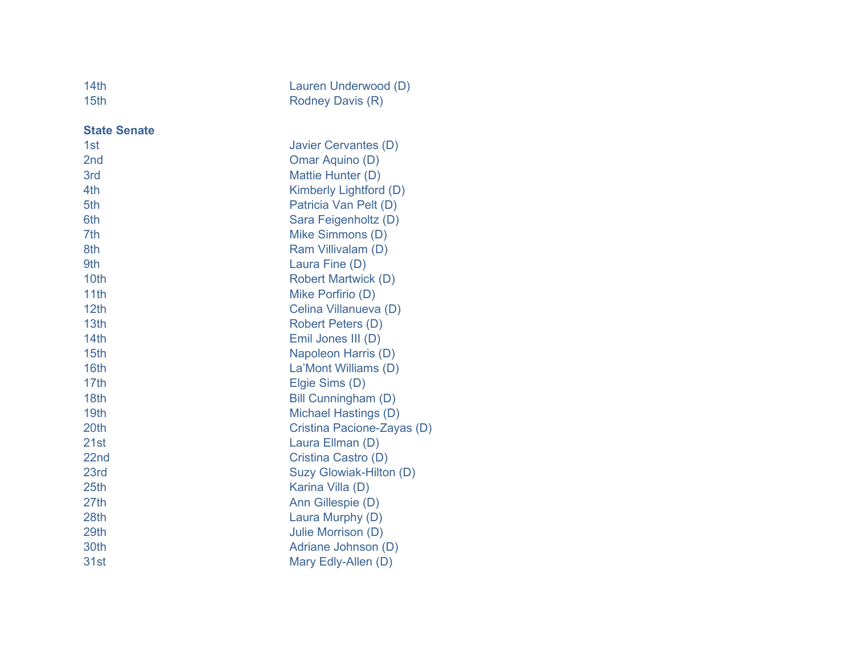| 14th | Lauren Underwood (D) |
|------|----------------------|
| 15th | Rodney Davis (R)     |

**State Senate**

| 1st             | Javier Cervantes (D)       |
|-----------------|----------------------------|
| 2 <sub>nd</sub> | Omar Aquino (D)            |
| 3rd             | Mattie Hunter (D)          |
| 4th             | Kimberly Lightford (D)     |
| 5th             | Patricia Van Pelt (D)      |
| 6th             | Sara Feigenholtz (D)       |
| 7th             | Mike Simmons (D)           |
| 8th             | Ram Villivalam (D)         |
| 9th             | Laura Fine (D)             |
| 10th            | <b>Robert Martwick (D)</b> |
| 11th            | Mike Porfirio (D)          |
| 12th            | Celina Villanueva (D)      |
| 13th            | <b>Robert Peters (D)</b>   |
| 14th            | Emil Jones III (D)         |
| 15th            | Napoleon Harris (D)        |
| 16th            | La'Mont Williams (D)       |
| 17th            | Elgie Sims (D)             |
| 18th            | Bill Cunningham (D)        |
| 19th            | Michael Hastings (D)       |
| 20th            | Cristina Pacione-Zayas (D) |
| 21st            | Laura Ellman (D)           |
| 22nd            | Cristina Castro (D)        |
| 23rd            | Suzy Glowiak-Hilton (D)    |
| 25th            | Karina Villa (D)           |
| 27th            | Ann Gillespie (D)          |
| 28th            | Laura Murphy (D)           |
| 29th            | Julie Morrison (D)         |
| 30th            | Adriane Johnson (D)        |
| 31st            | Mary Edly-Allen (D)        |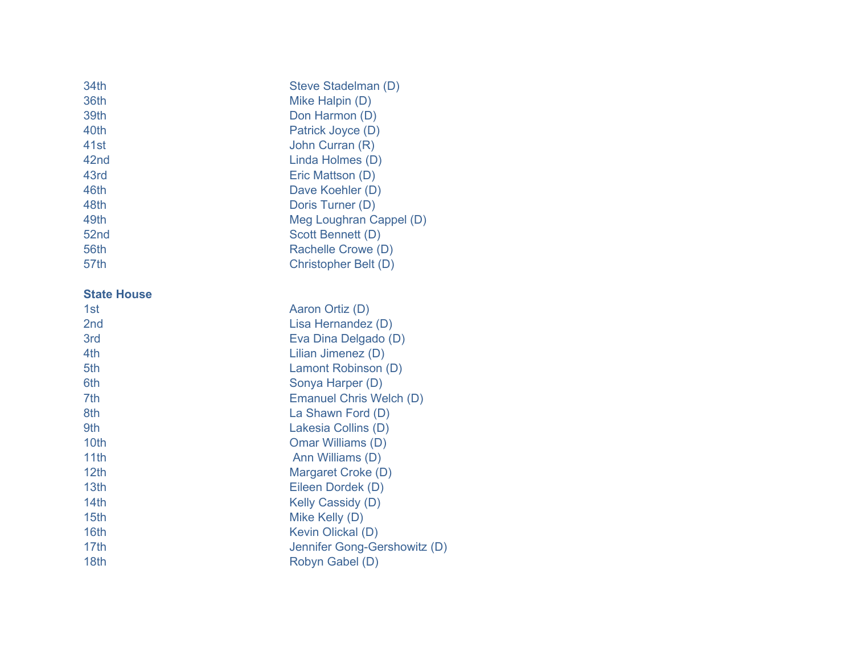| 34th<br>36th<br>39th<br>40th<br>41st<br>42 <sub>nd</sub><br>43rd<br>46th<br>48th<br>49th<br>52nd<br>56th<br>57th | Steve Stadelman (D)<br>Mike Halpin (D)<br>Don Harmon (D)<br>Patrick Joyce (D)<br>John Curran (R)<br>Linda Holmes (D)<br>Eric Mattson (D)<br>Dave Koehler (D)<br>Doris Turner (D)<br>Meg Loughran Cappel (D)<br><b>Scott Bennett (D)</b><br>Rachelle Crowe (D)<br>Christopher Belt (D) |
|------------------------------------------------------------------------------------------------------------------|---------------------------------------------------------------------------------------------------------------------------------------------------------------------------------------------------------------------------------------------------------------------------------------|
| <b>State House</b>                                                                                               |                                                                                                                                                                                                                                                                                       |
| 1st                                                                                                              | Aaron Ortiz (D)                                                                                                                                                                                                                                                                       |
| 2nd                                                                                                              | Lisa Hernandez (D)                                                                                                                                                                                                                                                                    |
| 3rd                                                                                                              | Eva Dina Delgado (D)                                                                                                                                                                                                                                                                  |
| 4th                                                                                                              | Lilian Jimenez (D)                                                                                                                                                                                                                                                                    |
| 5th                                                                                                              | Lamont Robinson (D)                                                                                                                                                                                                                                                                   |
| 6th                                                                                                              | Sonya Harper (D)                                                                                                                                                                                                                                                                      |
| 7th                                                                                                              | <b>Emanuel Chris Welch (D)</b>                                                                                                                                                                                                                                                        |
| 8th<br>9th                                                                                                       | La Shawn Ford (D)                                                                                                                                                                                                                                                                     |
| 10th                                                                                                             | Lakesia Collins (D)<br>Omar Williams (D)                                                                                                                                                                                                                                              |
| 11th                                                                                                             | Ann Williams (D)                                                                                                                                                                                                                                                                      |
| 12 <sub>th</sub>                                                                                                 | Margaret Croke (D)                                                                                                                                                                                                                                                                    |
| 13th                                                                                                             | Eileen Dordek (D)                                                                                                                                                                                                                                                                     |
| 14th                                                                                                             | <b>Kelly Cassidy (D)</b>                                                                                                                                                                                                                                                              |
| 15 <sub>th</sub>                                                                                                 | Mike Kelly (D)                                                                                                                                                                                                                                                                        |
| 16th                                                                                                             | <b>Kevin Olickal (D)</b>                                                                                                                                                                                                                                                              |
| 17th                                                                                                             | Jennifer Gong-Gershowitz (D)                                                                                                                                                                                                                                                          |
| 18th                                                                                                             | Robyn Gabel (D)                                                                                                                                                                                                                                                                       |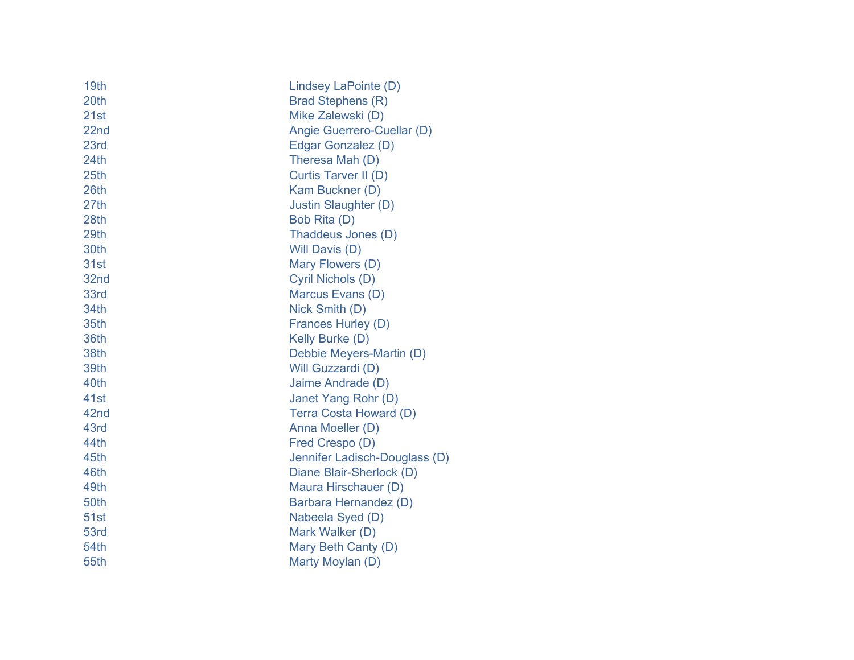| 19th             | Lindsey LaPointe (D)          |
|------------------|-------------------------------|
| 20th             | Brad Stephens (R)             |
| 21st             | Mike Zalewski (D)             |
| 22nd             | Angie Guerrero-Cuellar (D)    |
| 23rd             | Edgar Gonzalez (D)            |
| 24th             | Theresa Mah (D)               |
| 25 <sub>th</sub> | Curtis Tarver II (D)          |
| 26th             | Kam Buckner (D)               |
| 27th             | Justin Slaughter (D)          |
| 28th             | Bob Rita (D)                  |
| 29th             | Thaddeus Jones (D)            |
| 30th             | Will Davis (D)                |
| 31st             | Mary Flowers (D)              |
| 32nd             | Cyril Nichols (D)             |
| 33rd             | Marcus Evans (D)              |
| 34th             | Nick Smith (D)                |
| 35th             | Frances Hurley (D)            |
| 36th             | Kelly Burke (D)               |
| 38th             | Debbie Meyers-Martin (D)      |
| 39th             | Will Guzzardi (D)             |
| 40th             | Jaime Andrade (D)             |
| 41st             | Janet Yang Rohr (D)           |
| 42nd             | Terra Costa Howard (D)        |
| 43rd             | Anna Moeller (D)              |
| 44th             | Fred Crespo (D)               |
| 45th             | Jennifer Ladisch-Douglass (D) |
| 46th             | Diane Blair-Sherlock (D)      |
| 49th             | Maura Hirschauer (D)          |
| 50th             | Barbara Hernandez (D)         |
| <b>51st</b>      | Nabeela Syed (D)              |
| 53rd             | Mark Walker (D)               |
| 54th             | Mary Beth Canty (D)           |
| 55th             | Marty Moylan (D)              |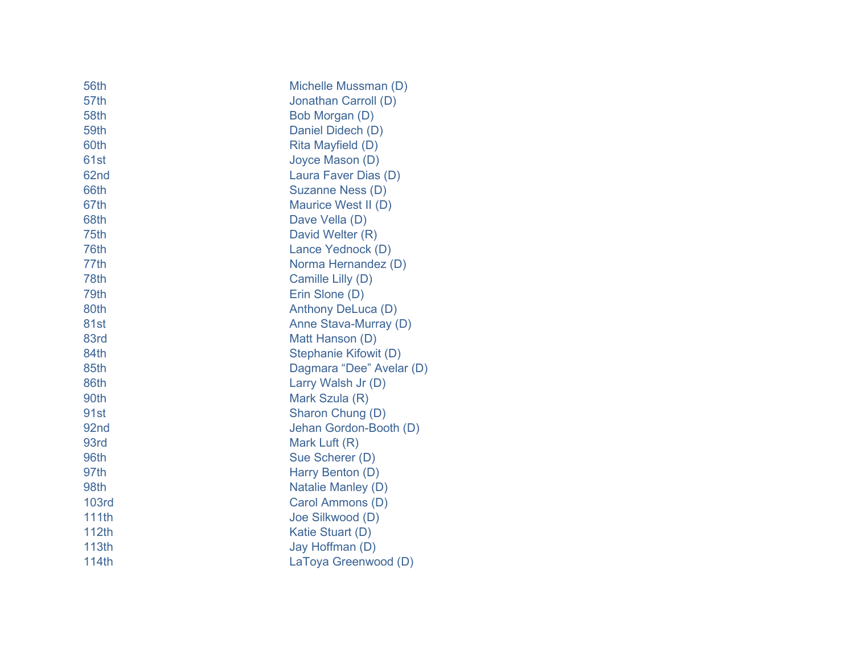| 56th             | Michelle Mussman (D)     |
|------------------|--------------------------|
| 57th             | Jonathan Carroll (D)     |
| 58th             | Bob Morgan (D)           |
| 59th             | Daniel Didech (D)        |
| 60th             | Rita Mayfield (D)        |
| 61st             | Joyce Mason (D)          |
| 62nd             | Laura Faver Dias (D)     |
| 66th             | Suzanne Ness (D)         |
| 67th             | Maurice West II (D)      |
| 68th             | Dave Vella (D)           |
| 75th             | David Welter (R)         |
| 76th             | Lance Yednock (D)        |
| 77th             | Norma Hernandez (D)      |
| 78th             | Camille Lilly (D)        |
| 79th             | Erin Slone (D)           |
| 80th             | Anthony DeLuca (D)       |
| 81st             | Anne Stava-Murray (D)    |
| 83rd             | Matt Hanson (D)          |
| 84th             | Stephanie Kifowit (D)    |
| 85th             | Dagmara "Dee" Avelar (D) |
| 86th             | Larry Walsh Jr (D)       |
| 90th             | Mark Szula (R)           |
| 91st             | Sharon Chung (D)         |
| 92 <sub>nd</sub> | Jehan Gordon-Booth (D)   |
| 93rd             | Mark Luft (R)            |
| 96th             | Sue Scherer (D)          |
| 97th             | Harry Benton (D)         |
| 98th             | Natalie Manley (D)       |
| <b>103rd</b>     | Carol Ammons (D)         |
| 111th            | Joe Silkwood (D)         |
| 112th            | Katie Stuart (D)         |
| 113th            | Jay Hoffman (D)          |
| 114th            | LaToya Greenwood (D)     |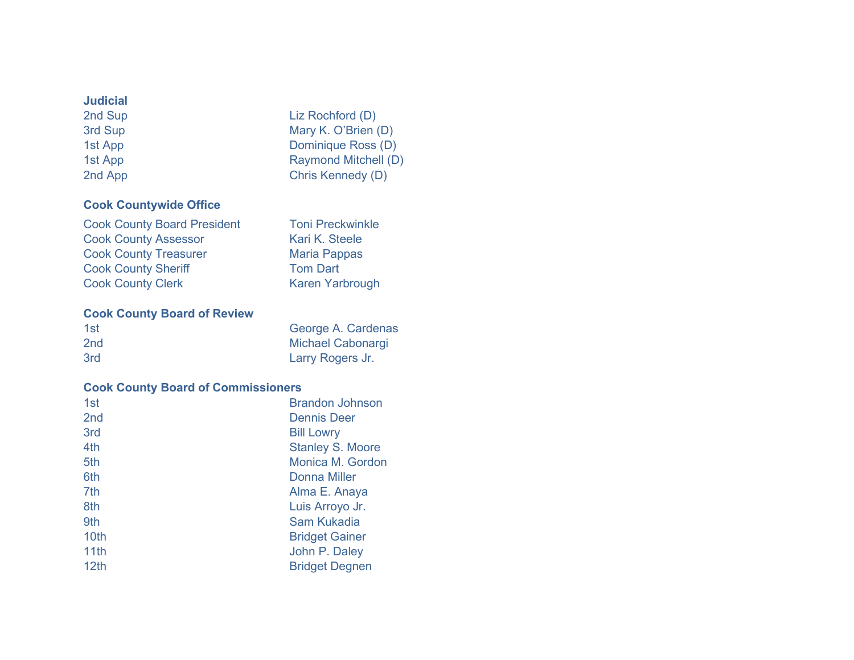# **Judicial**

3rd Sup Mary K. O'Brien (D) 1st App Dominique Ross (D) 2nd App Chris Kennedy (D)

### **Cook Countywide Office**

| <b>Cook County Board President</b> | <b>Toni Preckwinkle</b> |
|------------------------------------|-------------------------|
| <b>Cook County Assessor</b>        | Kari K. Steele          |
| <b>Cook County Treasurer</b>       | <b>Maria Pappas</b>     |
| <b>Cook County Sheriff</b>         | <b>Tom Dart</b>         |
| <b>Cook County Clerk</b>           | <b>Karen Yarbrough</b>  |

Liz Rochford (D)

Raymond Mitchell (D)

### **Cook County Board of Review**

| 1st             | George A. Cardenas       |
|-----------------|--------------------------|
| 2 <sub>nd</sub> | <b>Michael Cabonargi</b> |
| 3rd             | Larry Rogers Jr.         |

### **Cook County Board of Commissioners**

| 1st              | <b>Brandon Johnson</b>  |
|------------------|-------------------------|
| 2 <sub>nd</sub>  | <b>Dennis Deer</b>      |
| 3rd              | <b>Bill Lowry</b>       |
| 4th              | <b>Stanley S. Moore</b> |
| 5th              | Monica M. Gordon        |
| 6th              | Donna Miller            |
| 7th              | Alma E. Anaya           |
| 8th              | Luis Arroyo Jr.         |
| 9th              | Sam Kukadia             |
| 10 <sub>th</sub> | <b>Bridget Gainer</b>   |
| 11th             | John P. Daley           |
| 12 <sub>th</sub> | <b>Bridget Degnen</b>   |
|                  |                         |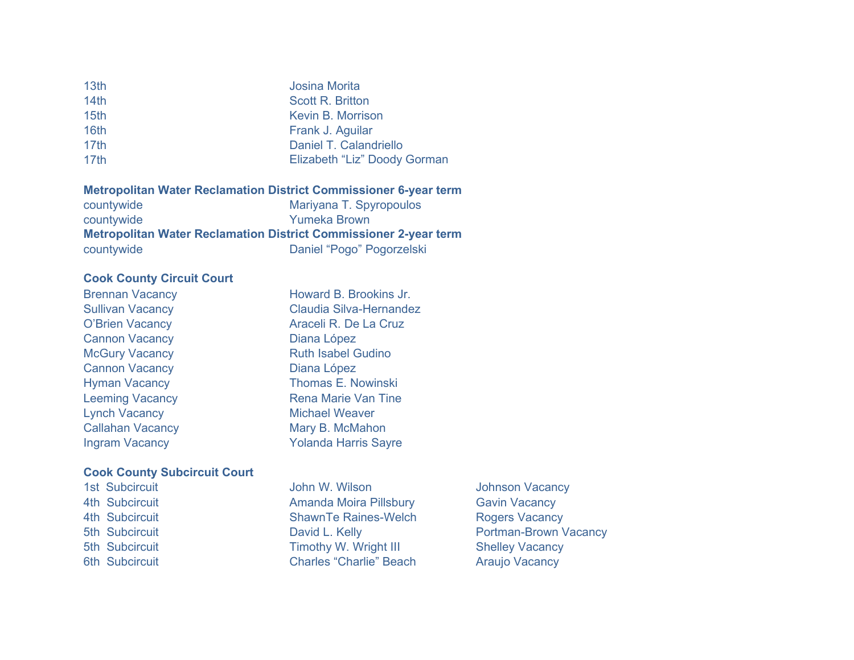| 13th             | <b>Josina Morita</b>         |
|------------------|------------------------------|
| 14th             | <b>Scott R. Britton</b>      |
| 15 <sub>th</sub> | Kevin B. Morrison            |
| 16 <sub>th</sub> | Frank J. Aguilar             |
| 17th             | Daniel T. Calandriello       |
| 17 <sub>th</sub> | Elizabeth "Liz" Doody Gorman |
|                  |                              |

#### **Metropolitan Water Reclamation District Commissioner 6-year term**

| countywide | Mariyana T. Spyropoulos                                                 |
|------------|-------------------------------------------------------------------------|
| countywide | Yumeka Brown                                                            |
|            | <b>Metropolitan Water Reclamation District Commissioner 2-year term</b> |
| countywide | Daniel "Pogo" Pogorzelski                                               |

#### **Cook County Circuit Court**

| Brennan Vacancy         |
|-------------------------|
| <b>Sullivan Vacancy</b> |
| <b>O'Brien Vacancy</b>  |
| <b>Cannon Vacancy</b>   |
| <b>McGury Vacancy</b>   |
| <b>Cannon Vacancy</b>   |
| <b>Hyman Vacancy</b>    |
| <b>Leeming Vacancy</b>  |
| <b>Lynch Vacancy</b>    |
| <b>Callahan Vacancy</b> |
| <b>Ingram Vacancy</b>   |

### **Cook County Subcircuit Court**

| <b>ISL SUDCIFICUIL</b> |
|------------------------|
| 4th Subcircuit         |
| 4th Subcircuit         |
| 5th Subcircuit         |
| 5th Subcircuit         |
| 6th Subcircuit         |

John W. Wilson **Johnson Vacancy** Amanda Moira Pillsbury **Gavin Vacancy** ShawnTe Raines-Welch Rogers Vacancy Timothy W. Wright III Shelley Vacancy Charles "Charlie" Beach Araujo Vacancy

Howard B. Brookins Jr. Claudia Silva-Hernandez Araceli R. De La Cruz

Diana López

Diana López

**Ruth Isabel Gudino** 

Thomas E. Nowinski Rena Marie Van Tine **Michael Weaver** Mary B. McMahon Yolanda Harris Sayre

David L. Kelly **Subcircuit David L. Kelly** Portman-Brown Vacancy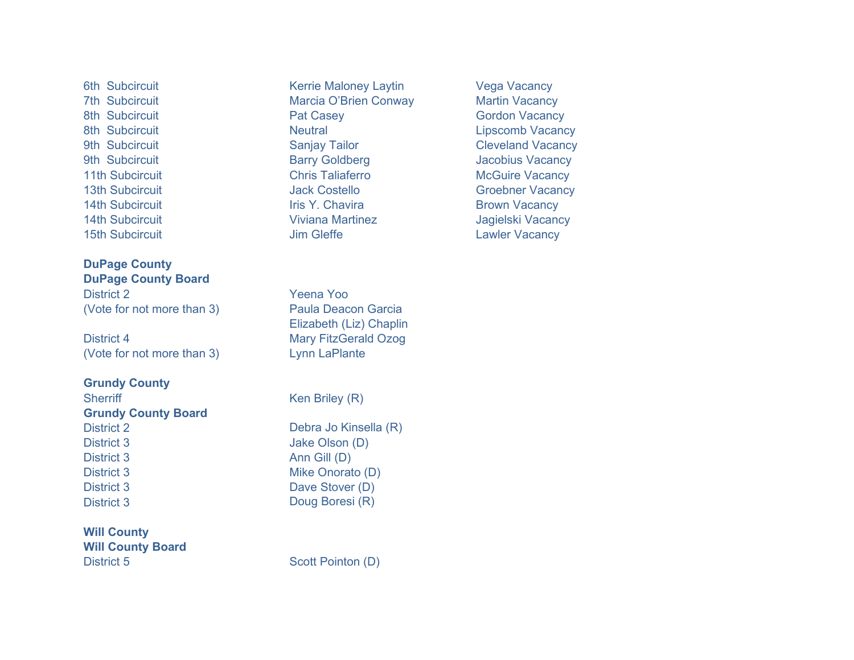**DuPage County DuPage County Board** District 2 Yeena Yoo (Vote for not more than 3) Paula Deacon Garcia

District 4 Mary FitzGerald Ozog (Vote for not more than 3) Lynn LaPlante

**Grundy County** Sherriff Ken Briley (R) **Grundy County Board** District 2 Debra Jo Kinsella (R) District 3 Jake Olson (D) District 3 Ann Gill (D) District 3 Mike Onorato (D) District 3 Dave Stover (D)

**Will County Will County Board**  District 5 Scott Pointon (D)

6th Subcircuit **Kerrie Maloney Laytin** Vega Vacancy 7th Subcircuit **Marcia O'Brien Conway** Martin Vacancy 8th Subcircuit **Pat Casey Community Contract Casey** Gordon Vacancy 8th Subcircuit **Neutral Metal** Research Constanting Constanting Constanting Constanting Constanting Constanting Constanting Constanting Constanting Constanting Constanting Constanting Constanting Constanting Constanting Co 9th Subcircuit Christian Sanjay Tailor Cleveland Vacancy 9th Subcircuit **Barry Goldberg Constructs** Barry Goldberg Jacobius Vacancy 11th Subcircuit **Chris Taliaferro** Chris Taliaferro McGuire Vacancy 13th Subcircuit **Contains Track Contains Jack Costello** Groebner Vacancy 14th Subcircuit **International Iris Y. Chavira Iris Y. Chavira** Brown Vacancy 14th Subcircuit Viviana Martinez Jagielski Vacancy 15th Subcircuit **15th Subcircuit Lawler Vacancy** 

Elizabeth (Liz) Chaplin

District 3 Doug Boresi (R)